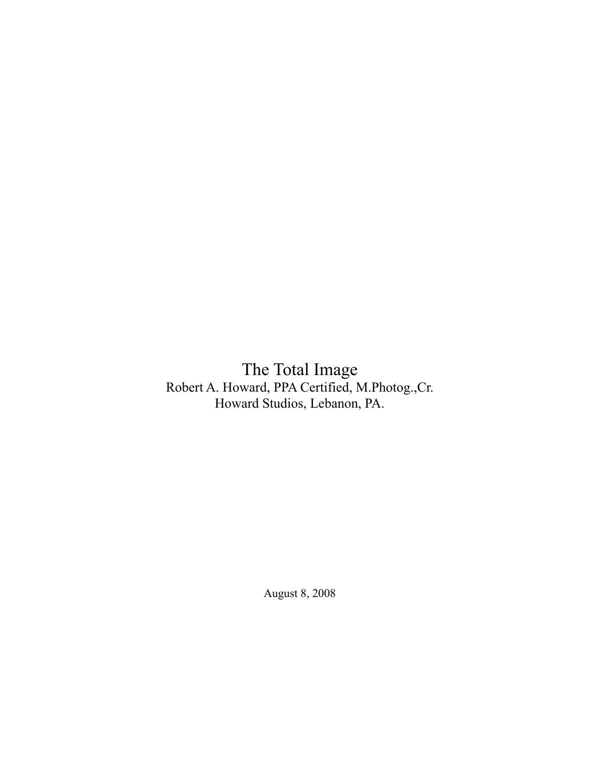The Total Image Robert A. Howard, PPA Certified, M.Photog.,Cr. Howard Studios, Lebanon, PA.

August 8, 2008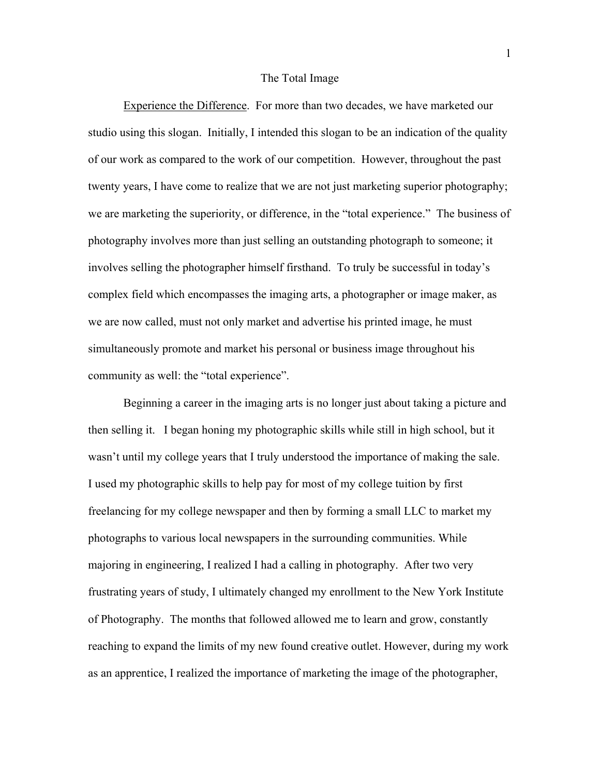## The Total Image

 Experience the Difference. For more than two decades, we have marketed our studio using this slogan. Initially, I intended this slogan to be an indication of the quality of our work as compared to the work of our competition. However, throughout the past twenty years, I have come to realize that we are not just marketing superior photography; we are marketing the superiority, or difference, in the "total experience." The business of photography involves more than just selling an outstanding photograph to someone; it involves selling the photographer himself firsthand. To truly be successful in today's complex field which encompasses the imaging arts, a photographer or image maker, as we are now called, must not only market and advertise his printed image, he must simultaneously promote and market his personal or business image throughout his community as well: the "total experience".

 Beginning a career in the imaging arts is no longer just about taking a picture and then selling it. I began honing my photographic skills while still in high school, but it wasn't until my college years that I truly understood the importance of making the sale. I used my photographic skills to help pay for most of my college tuition by first freelancing for my college newspaper and then by forming a small LLC to market my photographs to various local newspapers in the surrounding communities. While majoring in engineering, I realized I had a calling in photography. After two very frustrating years of study, I ultimately changed my enrollment to the New York Institute of Photography. The months that followed allowed me to learn and grow, constantly reaching to expand the limits of my new found creative outlet. However, during my work as an apprentice, I realized the importance of marketing the image of the photographer,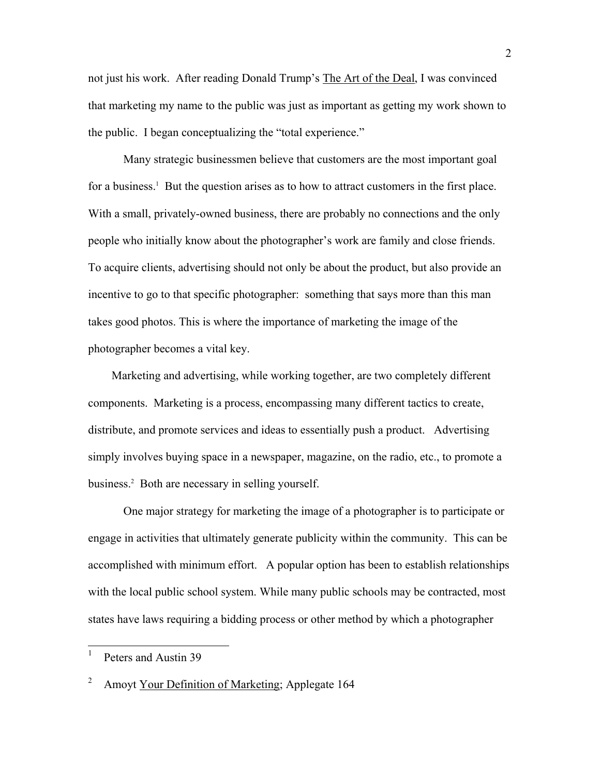not just his work. After reading Donald Trump's The Art of the Deal, I was convinced that marketing my name to the public was just as important as getting my work shown to the public. I began conceptualizing the "total experience."

 Many strategic businessmen believe that customers are the most important goal for a business.<sup>1</sup> But the question arises as to how to attract customers in the first place. With a small, privately-owned business, there are probably no connections and the only people who initially know about the photographer's work are family and close friends. To acquire clients, advertising should not only be about the product, but also provide an incentive to go to that specific photographer: something that says more than this man takes good photos. This is where the importance of marketing the image of the photographer becomes a vital key.

 Marketing and advertising, while working together, are two completely different components. Marketing is a process, encompassing many different tactics to create, distribute, and promote services and ideas to essentially push a product.Advertising simply involves buying space in a newspaper, magazine, on the radio, etc., to promote a business.2 Both are necessary in selling yourself.

 One major strategy for marketing the image of a photographer is to participate or engage in activities that ultimately generate publicity within the community. This can be accomplished with minimum effort. A popular option has been to establish relationships with the local public school system. While many public schools may be contracted, most states have laws requiring a bidding process or other method by which a photographer

 1 Peters and Austin 39

<sup>2</sup> Amoyt Your Definition of Marketing; Applegate 164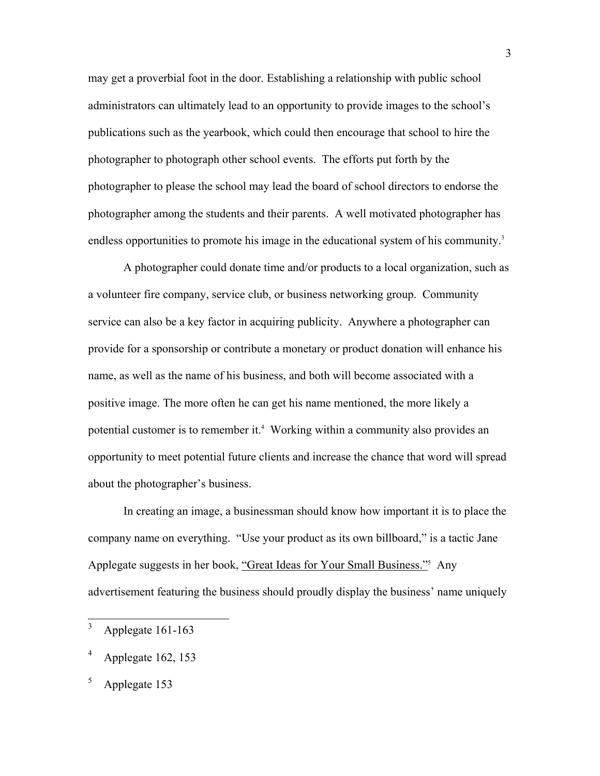may get a proverbial foot in the door. Establishing a relationship with public school administrators can ultimately lead to an opportunity to provide images to the school's publications such as the yearbook, which could then encourage that school to hire the photographer to photograph other school events. The efforts put forth by the photographer to please the school may lead the board of school directors to endorse the photographer among the students and their parents. A well motivated photographer has endless opportunities to promote his image in the educational system of his community.<sup>3</sup>

 A photographer could donate time and/or products to a local organization, such as a volunteer fire company, service club, or business networking group. Community service can also be a key factor in acquiring publicity. Anywhere a photographer can provide for a sponsorship or contribute a monetary or product donation will enhance his name, as well as the name of his business, and both will become associated with a positive image. The more often he can get his name mentioned, the more likely a potential customer is to remember it.<sup>4</sup> Working within a community also provides an opportunity to meet potential future clients and increase the chance that word will spread about the photographer's business.

 In creating an image, a businessman should know how important it is to place the company name on everything. "Use your product as its own billboard," is a tactic Jane Applegate suggests in her book, "Great Ideas for Your Small Business."<sup>5</sup> Any advertisement featuring the business should proudly display the business' name uniquely

 3 Applegate 161-163

<sup>4</sup> Applegate 162, 153

<sup>5</sup> Applegate 153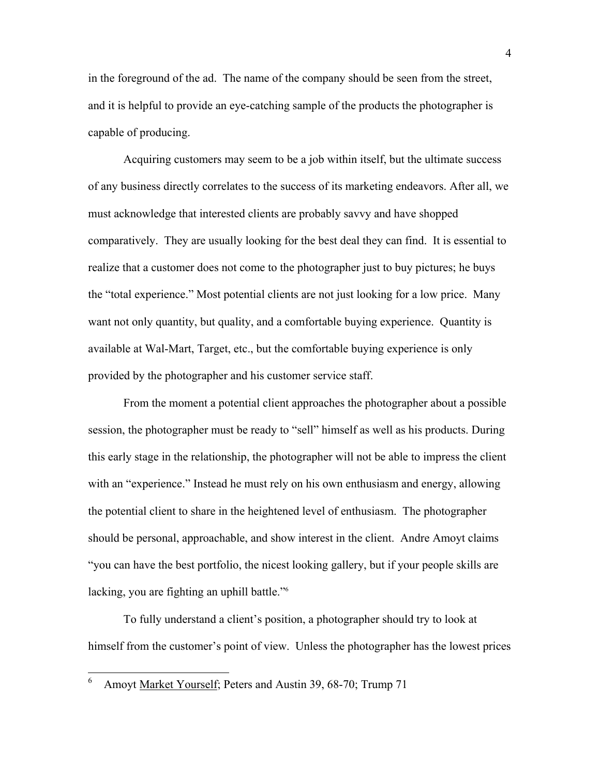in the foreground of the ad. The name of the company should be seen from the street, and it is helpful to provide an eye-catching sample of the products the photographer is capable of producing.

 Acquiring customers may seem to be a job within itself, but the ultimate success of any business directly correlates to the success of its marketing endeavors. After all, we must acknowledge that interested clients are probably savvy and have shopped comparatively. They are usually looking for the best deal they can find. It is essential to realize that a customer does not come to the photographer just to buy pictures; he buys the "total experience." Most potential clients are not just looking for a low price. Many want not only quantity, but quality, and a comfortable buying experience. Quantity is available at Wal-Mart, Target, etc., but the comfortable buying experience is only provided by the photographer and his customer service staff.

 From the moment a potential client approaches the photographer about a possible session, the photographer must be ready to "sell" himself as well as his products. During this early stage in the relationship, the photographer will not be able to impress the client with an "experience." Instead he must rely on his own enthusiasm and energy, allowing the potential client to share in the heightened level of enthusiasm. The photographer should be personal, approachable, and show interest in the client. Andre Amoyt claims "you can have the best portfolio, the nicest looking gallery, but if your people skills are lacking, you are fighting an uphill battle."<sup>6</sup>

 To fully understand a client's position, a photographer should try to look at himself from the customer's point of view. Unless the photographer has the lowest prices

 $\overline{a}$ 

<sup>6</sup> Amoyt Market Yourself; Peters and Austin 39, 68-70; Trump 71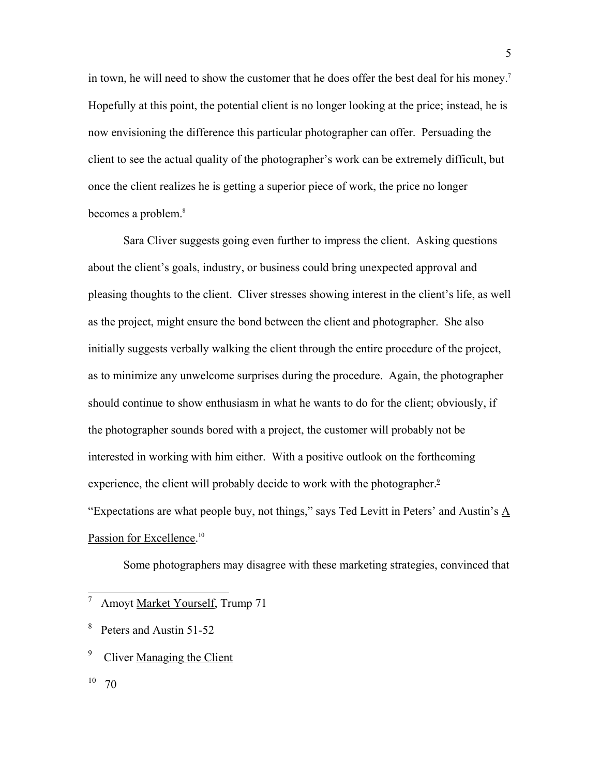in town, he will need to show the customer that he does offer the best deal for his money.7 Hopefully at this point, the potential client is no longer looking at the price; instead, he is now envisioning the difference this particular photographer can offer. Persuading the client to see the actual quality of the photographer's work can be extremely difficult, but once the client realizes he is getting a superior piece of work, the price no longer becomes a problem.<sup>8</sup>

 Sara Cliver suggests going even further to impress the client. Asking questions about the client's goals, industry, or business could bring unexpected approval and pleasing thoughts to the client. Cliver stresses showing interest in the client's life, as well as the project, might ensure the bond between the client and photographer. She also initially suggests verbally walking the client through the entire procedure of the project, as to minimize any unwelcome surprises during the procedure. Again, the photographer should continue to show enthusiasm in what he wants to do for the client; obviously, if the photographer sounds bored with a project, the customer will probably not be interested in working with him either. With a positive outlook on the forthcoming experience, the client will probably decide to work with the photographer.<sup>9</sup> "Expectations are what people buy, not things," says Ted Levitt in Peters' and Austin's A Passion for Excellence.<sup>10</sup>

Some photographers may disagree with these marketing strategies, convinced that

 7 Amoyt Market Yourself, Trump 71

<sup>8</sup> Peters and Austin 51-52

<sup>9</sup> Cliver Managing the Client

 $10 \t 70$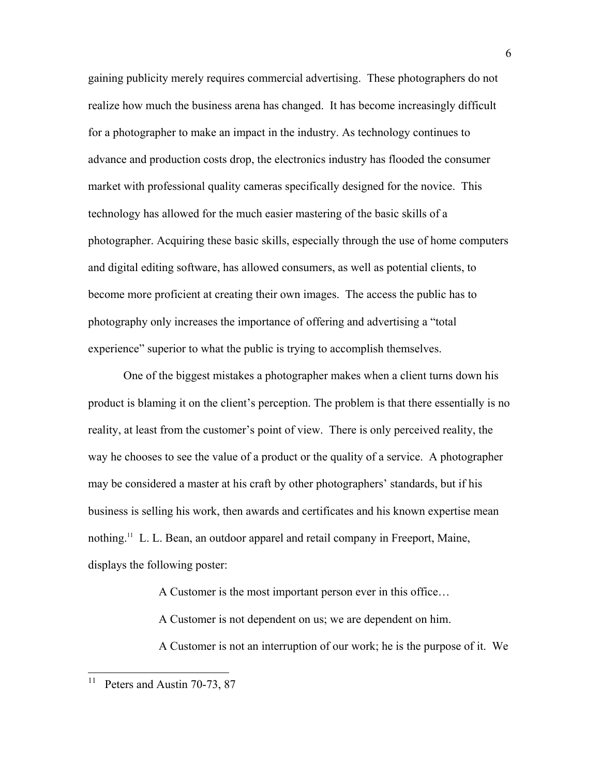gaining publicity merely requires commercial advertising. These photographers do not realize how much the business arena has changed. It has become increasingly difficult for a photographer to make an impact in the industry. As technology continues to advance and production costs drop, the electronics industry has flooded the consumer market with professional quality cameras specifically designed for the novice. This technology has allowed for the much easier mastering of the basic skills of a photographer. Acquiring these basic skills, especially through the use of home computers and digital editing software, has allowed consumers, as well as potential clients, to become more proficient at creating their own images. The access the public has to photography only increases the importance of offering and advertising a "total experience" superior to what the public is trying to accomplish themselves.

 One of the biggest mistakes a photographer makes when a client turns down his product is blaming it on the client's perception. The problem is that there essentially is no reality, at least from the customer's point of view. There is only perceived reality, the way he chooses to see the value of a product or the quality of a service. A photographer may be considered a master at his craft by other photographers' standards, but if his business is selling his work, then awards and certificates and his known expertise mean nothing.11 L. L. Bean, an outdoor apparel and retail company in Freeport, Maine, displays the following poster:

A Customer is the most important person ever in this office…

A Customer is not dependent on us; we are dependent on him.

A Customer is not an interruption of our work; he is the purpose of it. We

 $1\,1$ Peters and Austin 70-73, 87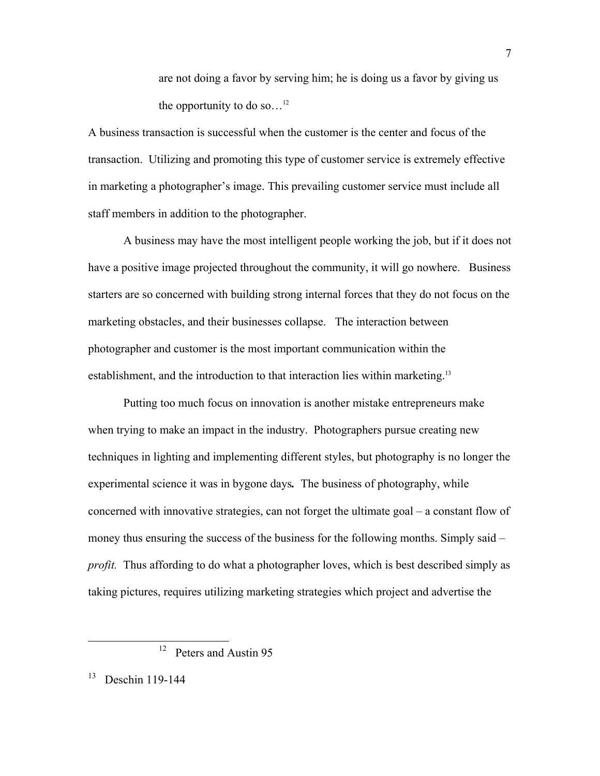are not doing a favor by serving him; he is doing us a favor by giving us the opportunity to do so...<sup>12</sup>

A business transaction is successful when the customer is the center and focus of the transaction. Utilizing and promoting this type of customer service is extremely effective in marketing a photographer's image. This prevailing customer service must include all staff members in addition to the photographer.

 A business may have the most intelligent people working the job, but if it does not have a positive image projected throughout the community, it will go nowhere. Business starters are so concerned with building strong internal forces that they do not focus on the marketing obstacles, and their businesses collapse. The interaction between photographer and customer is the most important communication within the establishment, and the introduction to that interaction lies within marketing.<sup>13</sup>

 Putting too much focus on innovation is another mistake entrepreneurs make when trying to make an impact in the industry. Photographers pursue creating new techniques in lighting and implementing different styles, but photography is no longer the experimental science it was in bygone days*.* The business of photography, while concerned with innovative strategies, can not forget the ultimate goal – a constant flow of money thus ensuring the success of the business for the following months. Simply said – *profit.* Thus affording to do what a photographer loves, which is best described simply as taking pictures, requires utilizing marketing strategies which project and advertise the

<sup>&</sup>lt;sup>12</sup> Peters and Austin 95

<sup>&</sup>lt;sup>13</sup> Deschin 119-144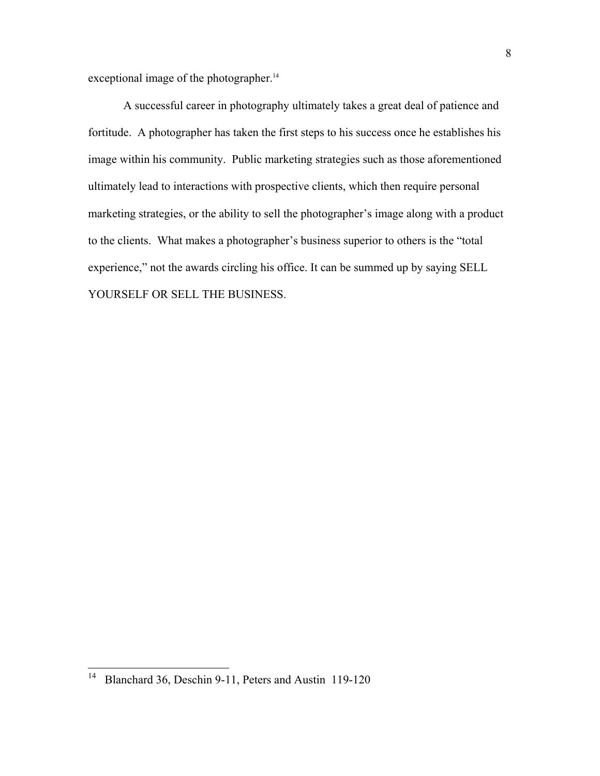exceptional image of the photographer.<sup>14</sup>

 A successful career in photography ultimately takes a great deal of patience and fortitude. A photographer has taken the first steps to his success once he establishes his image within his community. Public marketing strategies such as those aforementioned ultimately lead to interactions with prospective clients, which then require personal marketing strategies, or the ability to sell the photographer's image along with a product to the clients. What makes a photographer's business superior to others is the "total experience," not the awards circling his office. It can be summed up by saying SELL YOURSELF OR SELL THE BUSINESS.

 $\overline{\phantom{a}}$ 

<sup>&</sup>lt;sup>14</sup> Blanchard 36, Deschin 9-11, Peters and Austin 119-120